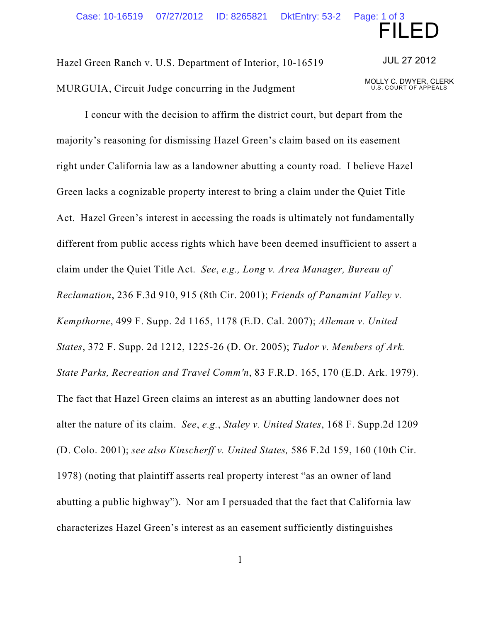FILED

Hazel Green Ranch v. U.S. Department of Interior, 10-16519 MURGUIA, Circuit Judge concurring in the Judgment

MOLLY C. DWYER, CLERK U.S. COURT OF APPEALS

JUL 27 2012

I concur with the decision to affirm the district court, but depart from the majority's reasoning for dismissing Hazel Green's claim based on its easement right under California law as a landowner abutting a county road. I believe Hazel Green lacks a cognizable property interest to bring a claim under the Quiet Title Act. Hazel Green's interest in accessing the roads is ultimately not fundamentally different from public access rights which have been deemed insufficient to assert a claim under the Quiet Title Act. *See*, *e.g., Long v. Area Manager, Bureau of Reclamation*, 236 F.3d 910, 915 (8th Cir. 2001); *Friends of Panamint Valley v. Kempthorne*, 499 F. Supp. 2d 1165, 1178 (E.D. Cal. 2007); *Alleman v. United States*, 372 F. Supp. 2d 1212, 1225-26 (D. Or. 2005); *Tudor v. Members of Ark. State Parks, Recreation and Travel Comm'n*, 83 F.R.D. 165, 170 (E.D. Ark. 1979). The fact that Hazel Green claims an interest as an abutting landowner does not alter the nature of its claim. *See*, *e.g.*, *Staley v. United States*, 168 F. Supp.2d 1209 (D. Colo. 2001); *see also Kinscherff v. United States,* 586 F.2d 159, 160 (10th Cir. 1978) (noting that plaintiff asserts real property interest "as an owner of land abutting a public highway"). Nor am I persuaded that the fact that California law characterizes Hazel Green's interest as an easement sufficiently distinguishes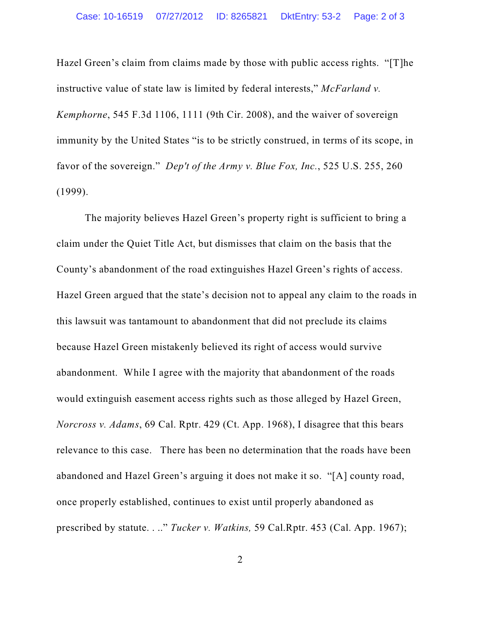Hazel Green's claim from claims made by those with public access rights. "[T]he instructive value of state law is limited by federal interests," *McFarland v. Kemphorne*, 545 F.3d 1106, 1111 (9th Cir. 2008), and the waiver of sovereign immunity by the United States "is to be strictly construed, in terms of its scope, in favor of the sovereign." *Dep't of the Army v. Blue Fox, Inc.*, 525 U.S. 255, 260 (1999).

The majority believes Hazel Green's property right is sufficient to bring a claim under the Quiet Title Act, but dismisses that claim on the basis that the County's abandonment of the road extinguishes Hazel Green's rights of access. Hazel Green argued that the state's decision not to appeal any claim to the roads in this lawsuit was tantamount to abandonment that did not preclude its claims because Hazel Green mistakenly believed its right of access would survive abandonment. While I agree with the majority that abandonment of the roads would extinguish easement access rights such as those alleged by Hazel Green, *Norcross v. Adams*, 69 Cal. Rptr. 429 (Ct. App. 1968), I disagree that this bears relevance to this case. There has been no determination that the roads have been abandoned and Hazel Green's arguing it does not make it so. "[A] county road, once properly established, continues to exist until properly abandoned as prescribed by statute. . .." *Tucker v. Watkins,* 59 Cal.Rptr. 453 (Cal. App. 1967);